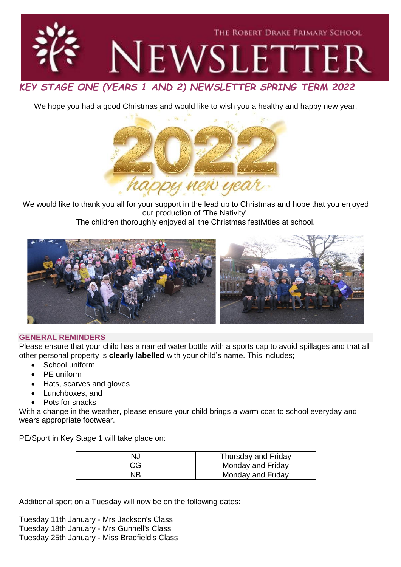

We hope you had a good Christmas and would like to wish you a healthy and happy new year.



We would like to thank you all for your support in the lead up to Christmas and hope that you enjoyed our production of 'The Nativity'.

The children thoroughly enjoyed all the Christmas festivities at school.



## **GENERAL REMINDERS**

Please ensure that your child has a named water bottle with a sports cap to avoid spillages and that all other personal property is **clearly labelled** with your child's name. This includes;

- School uniform
- PE uniform
- Hats, scarves and gloves
- Lunchboxes, and
- Pots for snacks

With a change in the weather, please ensure your child brings a warm coat to school everyday and wears appropriate footwear.

PE/Sport in Key Stage 1 will take place on:

| NJ | Thursday and Friday |
|----|---------------------|
| CG | Monday and Friday   |
| NB | Monday and Friday   |

Additional sport on a Tuesday will now be on the following dates:

Tuesday 11th January - Mrs Jackson's Class Tuesday 18th January - Mrs Gunnell's Class Tuesday 25th January - Miss Bradfield's Class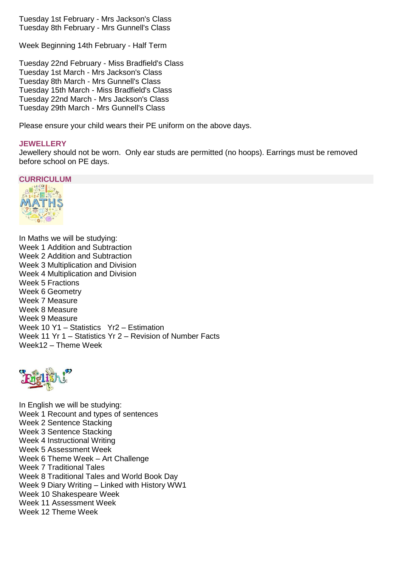Tuesday 1st February - Mrs Jackson's Class Tuesday 8th February - Mrs Gunnell's Class

Week Beginning 14th February - Half Term

Tuesday 22nd February - Miss Bradfield's Class Tuesday 1st March - Mrs Jackson's Class Tuesday 8th March - Mrs Gunnell's Class Tuesday 15th March - Miss Bradfield's Class Tuesday 22nd March - Mrs Jackson's Class Tuesday 29th March - Mrs Gunnell's Class

Please ensure your child wears their PE uniform on the above days.

## **JEWELLERY**

Jewellery should not be worn. Only ear studs are permitted (no hoops). Earrings must be removed before school on PE days.



In Maths we will be studying: Week 1 Addition and Subtraction Week 2 Addition and Subtraction Week 3 Multiplication and Division Week 4 Multiplication and Division Week 5 Fractions Week 6 Geometry Week 7 Measure Week 8 Measure Week 9 Measure Week 10 Y1 – Statistics Yr2 – Estimation Week 11 Yr 1 – Statistics Yr 2 – Revision of Number Facts Week12 – Theme Week



In English we will be studying: Week 1 Recount and types of sentences Week 2 Sentence Stacking Week 3 Sentence Stacking Week 4 Instructional Writing Week 5 Assessment Week Week 6 Theme Week – Art Challenge Week 7 Traditional Tales Week 8 Traditional Tales and World Book Day Week 9 Diary Writing – Linked with History WW1 Week 10 Shakespeare Week Week 11 Assessment Week Week 12 Theme Week